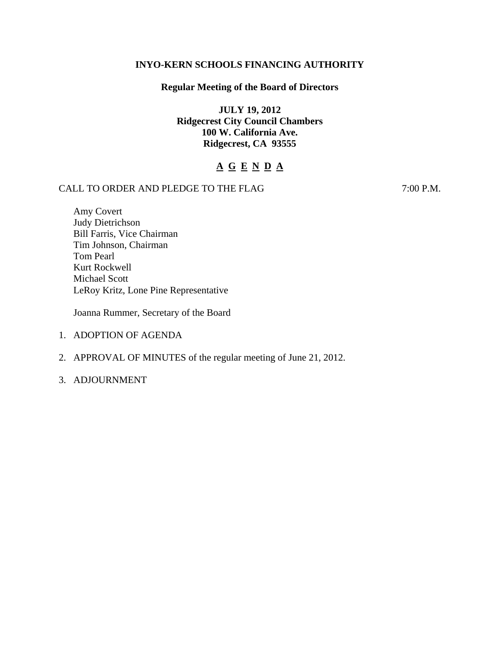# **INYO-KERN SCHOOLS FINANCING AUTHORITY**

# **Regular Meeting of the Board of Directors**

**JULY 19, 2012 Ridgecrest City Council Chambers 100 W. California Ave. Ridgecrest, CA 93555** 

# **A G E N D A**

# CALL TO ORDER AND PLEDGE TO THE FLAG 7:00 P.M.

Amy Covert Judy Dietrichson Bill Farris, Vice Chairman Tim Johnson, Chairman Tom Pearl Kurt Rockwell Michael Scott LeRoy Kritz, Lone Pine Representative

Joanna Rummer, Secretary of the Board

- 1. ADOPTION OF AGENDA
- 2. APPROVAL OF MINUTES of the regular meeting of June 21, 2012.
- 3. ADJOURNMENT